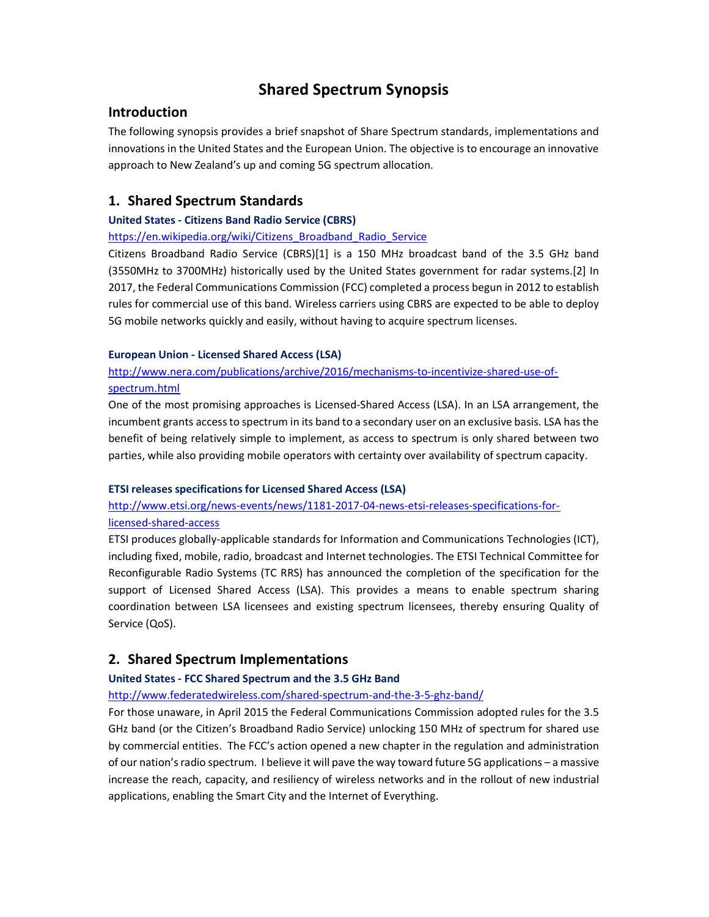# Shared Spectrum Synopsis

### Introduction

The following synopsis provides a brief snapshot of Share Spectrum standards, implementations and innovations in the United States and the European Union. The objective is to encourage an innovative approach to New Zealand's up and coming 5G spectrum allocation.

# 1. Shared Spectrum Standards

### United States - Citizens Band Radio Service (CBRS)

### https://en.wikipedia.org/wiki/Citizens\_Broadband\_Radio\_Service

Citizens Broadband Radio Service (CBRS)[1] is a 150 MHz broadcast band of the 3.5 GHz band (3550MHz to 3700MHz) historically used by the United States government for radar systems.[2] In 2017, the Federal Communications Commission (FCC) completed a process begun in 2012 to establish rules for commercial use of this band. Wireless carriers using CBRS are expected to be able to deploy 5G mobile networks quickly and easily, without having to acquire spectrum licenses.

### European Union - Licensed Shared Access (LSA)

## http://www.nera.com/publications/archive/2016/mechanisms-to-incentivize-shared-use-ofspectrum.html

One of the most promising approaches is Licensed-Shared Access (LSA). In an LSA arrangement, the incumbent grants access to spectrum in its band to a secondary user on an exclusive basis. LSA has the benefit of being relatively simple to implement, as access to spectrum is only shared between two parties, while also providing mobile operators with certainty over availability of spectrum capacity.

### ETSI releases specifications for Licensed Shared Access (LSA)

# http://www.etsi.org/news-events/news/1181-2017-04-news-etsi-releases-specifications-forlicensed-shared-access

ETSI produces globally-applicable standards for Information and Communications Technologies (ICT), including fixed, mobile, radio, broadcast and Internet technologies. The ETSI Technical Committee for Reconfigurable Radio Systems (TC RRS) has announced the completion of the specification for the support of Licensed Shared Access (LSA). This provides a means to enable spectrum sharing coordination between LSA licensees and existing spectrum licensees, thereby ensuring Quality of Service (QoS).

# 2. Shared Spectrum Implementations

### United States - FCC Shared Spectrum and the 3.5 GHz Band

### http://www.federatedwireless.com/shared-spectrum-and-the-3-5-ghz-band/

For those unaware, in April 2015 the Federal Communications Commission adopted rules for the 3.5 GHz band (or the Citizen's Broadband Radio Service) unlocking 150 MHz of spectrum for shared use by commercial entities. The FCC's action opened a new chapter in the regulation and administration of our nation's radio spectrum. I believe it will pave the way toward future 5G applications – a massive increase the reach, capacity, and resiliency of wireless networks and in the rollout of new industrial applications, enabling the Smart City and the Internet of Everything.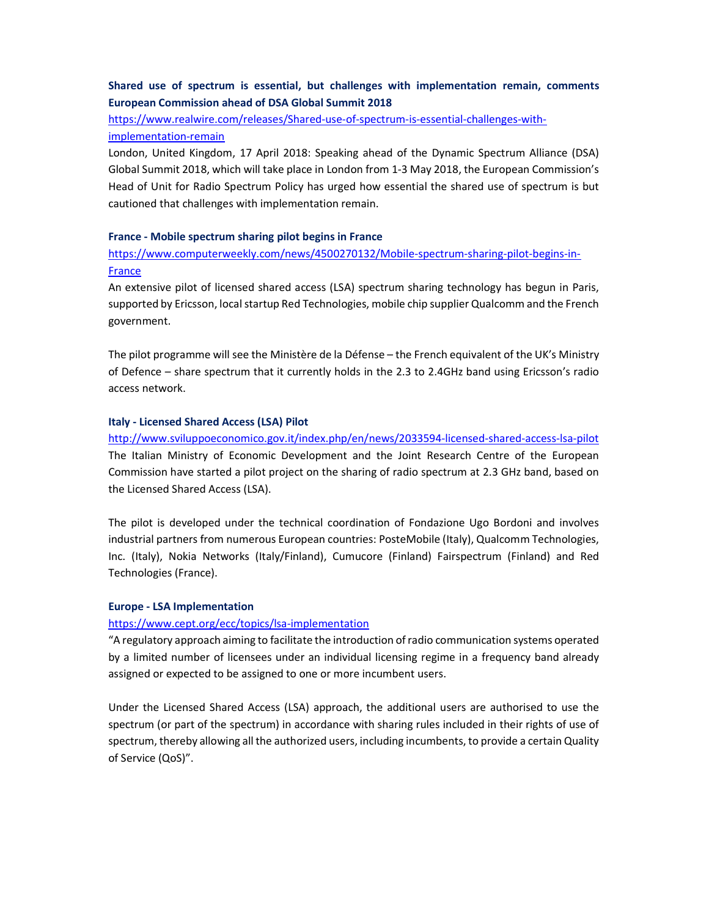### Shared use of spectrum is essential, but challenges with implementation remain, comments European Commission ahead of DSA Global Summit 2018

https://www.realwire.com/releases/Shared-use-of-spectrum-is-essential-challenges-withimplementation-remain

London, United Kingdom, 17 April 2018: Speaking ahead of the Dynamic Spectrum Alliance (DSA) Global Summit 2018, which will take place in London from 1-3 May 2018, the European Commission's Head of Unit for Radio Spectrum Policy has urged how essential the shared use of spectrum is but cautioned that challenges with implementation remain.

### France - Mobile spectrum sharing pilot begins in France

### https://www.computerweekly.com/news/4500270132/Mobile-spectrum-sharing-pilot-begins-in-France

An extensive pilot of licensed shared access (LSA) spectrum sharing technology has begun in Paris, supported by Ericsson, local startup Red Technologies, mobile chip supplier Qualcomm and the French government.

The pilot programme will see the Ministère de la Défense – the French equivalent of the UK's Ministry of Defence – share spectrum that it currently holds in the 2.3 to 2.4GHz band using Ericsson's radio access network.

#### Italy - Licensed Shared Access (LSA) Pilot

http://www.sviluppoeconomico.gov.it/index.php/en/news/2033594-licensed-shared-access-lsa-pilot The Italian Ministry of Economic Development and the Joint Research Centre of the European Commission have started a pilot project on the sharing of radio spectrum at 2.3 GHz band, based on the Licensed Shared Access (LSA).

The pilot is developed under the technical coordination of Fondazione Ugo Bordoni and involves industrial partners from numerous European countries: PosteMobile (Italy), Qualcomm Technologies, Inc. (Italy), Nokia Networks (Italy/Finland), Cumucore (Finland) Fairspectrum (Finland) and Red Technologies (France).

#### Europe - LSA Implementation

### https://www.cept.org/ecc/topics/lsa-implementation

"A regulatory approach aiming to facilitate the introduction of radio communication systems operated by a limited number of licensees under an individual licensing regime in a frequency band already assigned or expected to be assigned to one or more incumbent users.

Under the Licensed Shared Access (LSA) approach, the additional users are authorised to use the spectrum (or part of the spectrum) in accordance with sharing rules included in their rights of use of spectrum, thereby allowing all the authorized users, including incumbents, to provide a certain Quality of Service (QoS)".